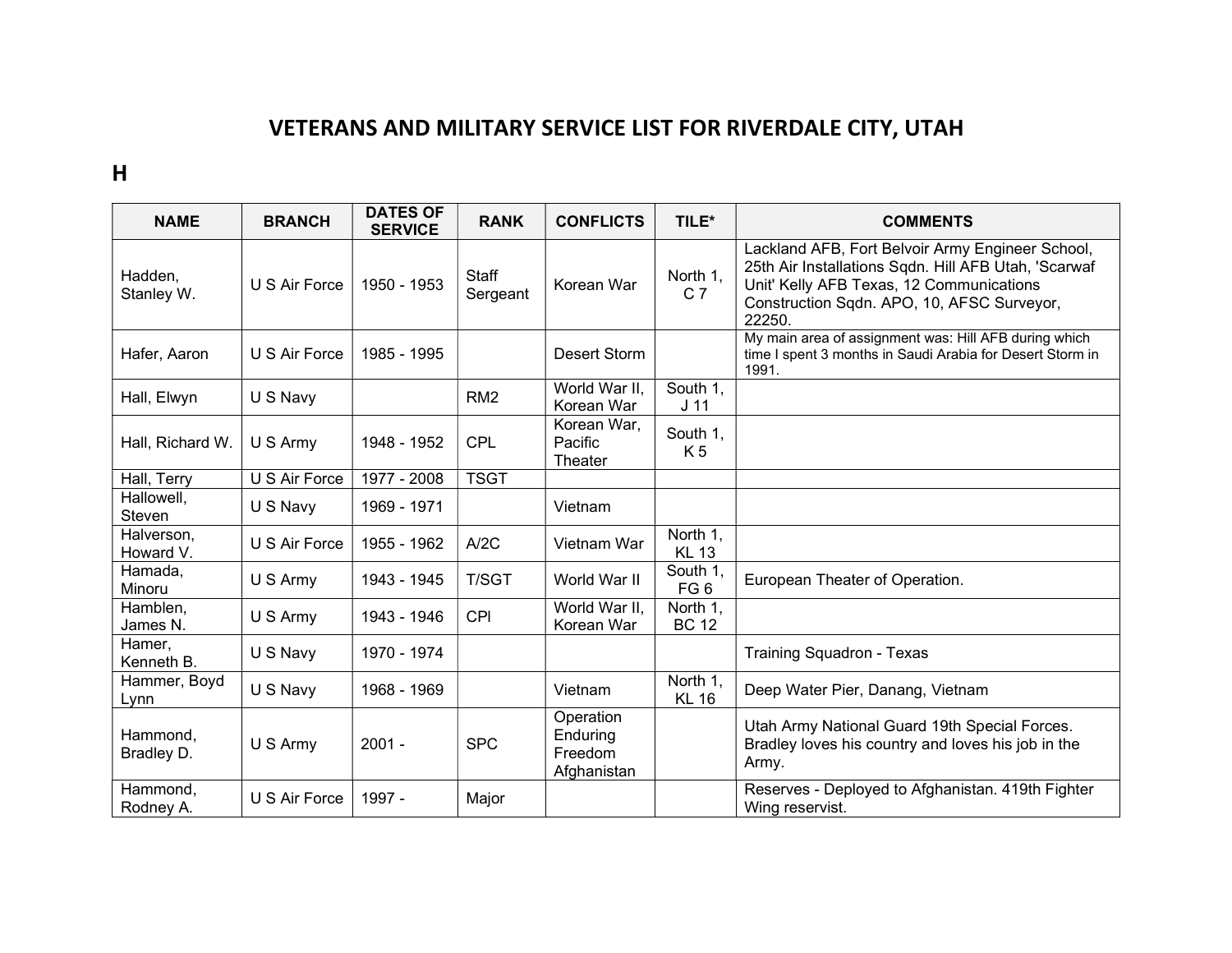## VETERANS AND MILITARY SERVICE LIST FOR RIVERDALE CITY, UTAH

H

| <b>NAME</b>                 | <b>BRANCH</b> | <b>DATES OF</b><br><b>SERVICE</b> | <b>RANK</b>       | <b>CONFLICTS</b>                                | TILE*                       | <b>COMMENTS</b>                                                                                                                                                                                              |
|-----------------------------|---------------|-----------------------------------|-------------------|-------------------------------------------------|-----------------------------|--------------------------------------------------------------------------------------------------------------------------------------------------------------------------------------------------------------|
| Hadden,<br>Stanley W.       | U S Air Force | 1950 - 1953                       | Staff<br>Sergeant | Korean War                                      | North 1,<br>C <sub>7</sub>  | Lackland AFB, Fort Belvoir Army Engineer School,<br>25th Air Installations Sqdn. Hill AFB Utah, 'Scarwaf<br>Unit' Kelly AFB Texas, 12 Communications<br>Construction Sqdn. APO, 10, AFSC Surveyor,<br>22250. |
| Hafer, Aaron                | U S Air Force | 1985 - 1995                       |                   | Desert Storm                                    |                             | My main area of assignment was: Hill AFB during which<br>time I spent 3 months in Saudi Arabia for Desert Storm in<br>1991.                                                                                  |
| Hall, Elwyn                 | U S Navy      |                                   | RM <sub>2</sub>   | World War II,<br>Korean War                     | South 1,<br>J <sub>11</sub> |                                                                                                                                                                                                              |
| Hall, Richard W.            | U S Army      | 1948 - 1952                       | <b>CPL</b>        | Korean War,<br>Pacific<br>Theater               | South 1,<br>K <sub>5</sub>  |                                                                                                                                                                                                              |
| Hall, Terry                 | U S Air Force | 1977 - 2008                       | <b>TSGT</b>       |                                                 |                             |                                                                                                                                                                                                              |
| Hallowell,<br><b>Steven</b> | U S Navy      | 1969 - 1971                       |                   | Vietnam                                         |                             |                                                                                                                                                                                                              |
| Halverson,<br>Howard V.     | U S Air Force | 1955 - 1962                       | A/2C              | Vietnam War                                     | North 1,<br><b>KL 13</b>    |                                                                                                                                                                                                              |
| Hamada,<br>Minoru           | U S Army      | 1943 - 1945                       | <b>T/SGT</b>      | World War II                                    | South 1,<br>FG <sub>6</sub> | European Theater of Operation.                                                                                                                                                                               |
| Hamblen,<br>James N.        | U S Army      | 1943 - 1946                       | <b>CPI</b>        | World War II,<br>Korean War                     | North 1,<br><b>BC 12</b>    |                                                                                                                                                                                                              |
| Hamer,<br>Kenneth B.        | U S Navy      | 1970 - 1974                       |                   |                                                 |                             | <b>Training Squadron - Texas</b>                                                                                                                                                                             |
| Hammer, Boyd<br>Lynn        | U S Navy      | 1968 - 1969                       |                   | Vietnam                                         | North 1,<br><b>KL 16</b>    | Deep Water Pier, Danang, Vietnam                                                                                                                                                                             |
| Hammond.<br>Bradley D.      | U S Army      | $2001 -$                          | <b>SPC</b>        | Operation<br>Enduring<br>Freedom<br>Afghanistan |                             | Utah Army National Guard 19th Special Forces.<br>Bradley loves his country and loves his job in the<br>Army.                                                                                                 |
| Hammond,<br>Rodney A.       | U S Air Force | 1997 -                            | Major             |                                                 |                             | Reserves - Deployed to Afghanistan. 419th Fighter<br>Wing reservist.                                                                                                                                         |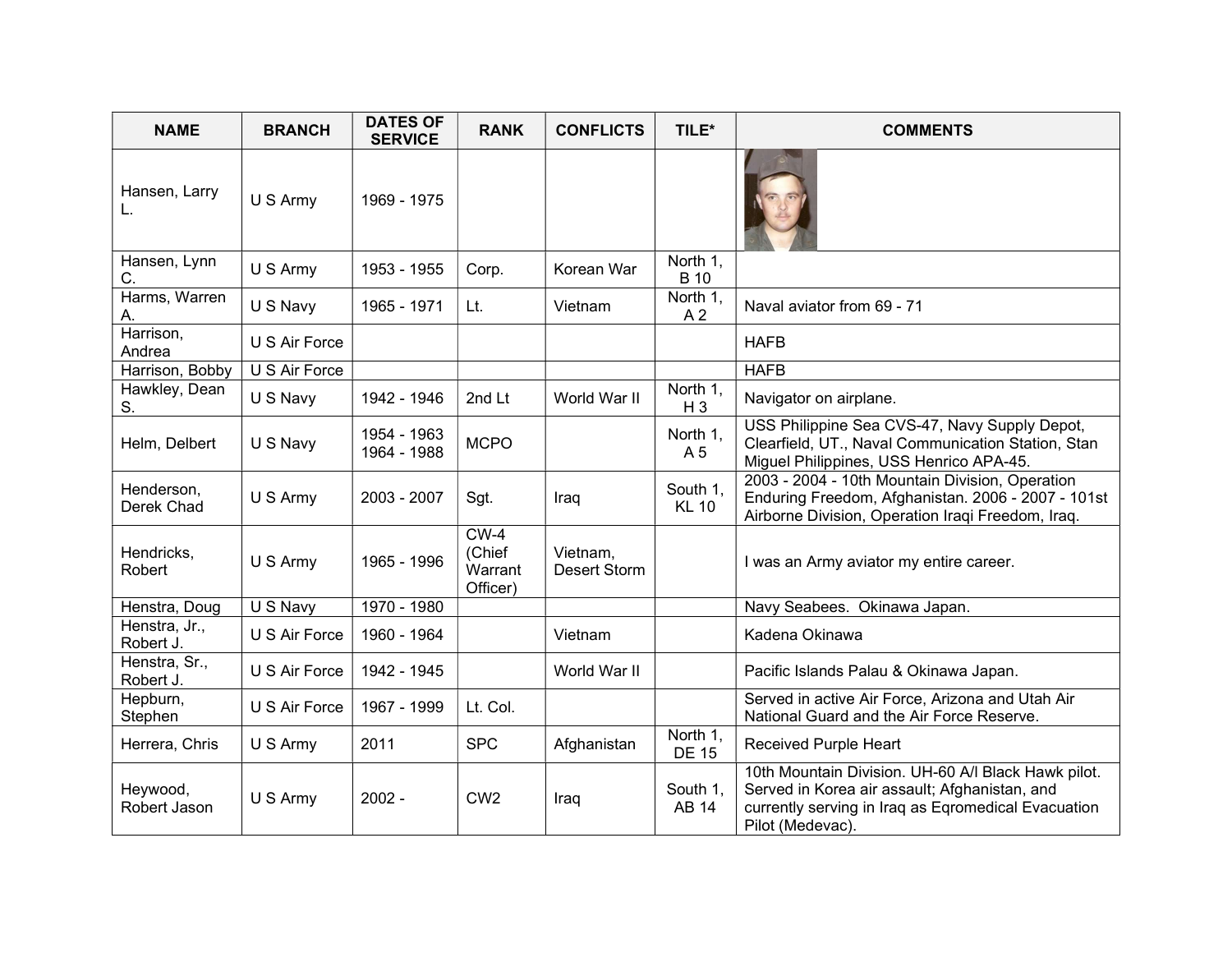| <b>NAME</b>                | <b>BRANCH</b> | <b>DATES OF</b><br><b>SERVICE</b> | <b>RANK</b>                             | <b>CONFLICTS</b>                | TILE*                      | <b>COMMENTS</b>                                                                                                                                                                 |
|----------------------------|---------------|-----------------------------------|-----------------------------------------|---------------------------------|----------------------------|---------------------------------------------------------------------------------------------------------------------------------------------------------------------------------|
| Hansen, Larry<br>L.        | U S Army      | 1969 - 1975                       |                                         |                                 |                            |                                                                                                                                                                                 |
| Hansen, Lynn<br>C.         | U S Army      | 1953 - 1955                       | Corp.                                   | Korean War                      | North 1,<br><b>B</b> 10    |                                                                                                                                                                                 |
| Harms, Warren<br>А.        | U S Navy      | 1965 - 1971                       | Lt.                                     | Vietnam                         | North 1,<br>A <sub>2</sub> | Naval aviator from 69 - 71                                                                                                                                                      |
| Harrison,<br>Andrea        | U S Air Force |                                   |                                         |                                 |                            | <b>HAFB</b>                                                                                                                                                                     |
| Harrison, Bobby            | U S Air Force |                                   |                                         |                                 |                            | <b>HAFB</b>                                                                                                                                                                     |
| Hawkley, Dean<br>S.        | U S Navy      | 1942 - 1946                       | 2nd Lt                                  | World War II                    | North 1,<br>$H_3$          | Navigator on airplane.                                                                                                                                                          |
| Helm, Delbert              | U S Navy      | 1954 - 1963<br>1964 - 1988        | <b>MCPO</b>                             |                                 | North 1,<br>A 5            | USS Philippine Sea CVS-47, Navy Supply Depot,<br>Clearfield, UT., Naval Communication Station, Stan<br>Miguel Philippines, USS Henrico APA-45.                                  |
| Henderson,<br>Derek Chad   | U S Army      | 2003 - 2007                       | Sgt.                                    | Iraq                            | South 1,<br><b>KL 10</b>   | 2003 - 2004 - 10th Mountain Division, Operation<br>Enduring Freedom, Afghanistan. 2006 - 2007 - 101st<br>Airborne Division, Operation Iraqi Freedom, Iraq.                      |
| Hendricks,<br>Robert       | U S Army      | 1965 - 1996                       | $CW-4$<br>(Chief<br>Warrant<br>Officer) | Vietnam,<br><b>Desert Storm</b> |                            | I was an Army aviator my entire career.                                                                                                                                         |
| Henstra, Doug              | U S Navy      | 1970 - 1980                       |                                         |                                 |                            | Navy Seabees. Okinawa Japan.                                                                                                                                                    |
| Henstra, Jr.,<br>Robert J. | U S Air Force | 1960 - 1964                       |                                         | Vietnam                         |                            | Kadena Okinawa                                                                                                                                                                  |
| Henstra, Sr.,<br>Robert J. | U S Air Force | 1942 - 1945                       |                                         | World War II                    |                            | Pacific Islands Palau & Okinawa Japan.                                                                                                                                          |
| Hepburn,<br>Stephen        | U S Air Force | 1967 - 1999                       | Lt. Col.                                |                                 |                            | Served in active Air Force, Arizona and Utah Air<br>National Guard and the Air Force Reserve.                                                                                   |
| Herrera, Chris             | U S Army      | 2011                              | <b>SPC</b>                              | Afghanistan                     | North 1,<br><b>DE 15</b>   | Received Purple Heart                                                                                                                                                           |
| Heywood,<br>Robert Jason   | U S Army      | $2002 -$                          | CW <sub>2</sub>                         | Iraq                            | South 1,<br>AB 14          | 10th Mountain Division. UH-60 A/I Black Hawk pilot.<br>Served in Korea air assault; Afghanistan, and<br>currently serving in Iraq as Eqromedical Evacuation<br>Pilot (Medevac). |